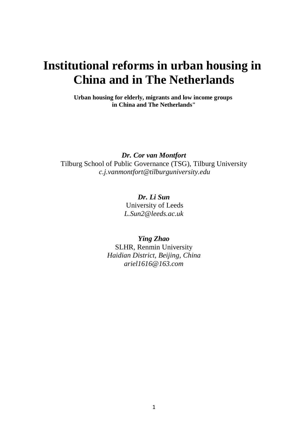## **Institutional reforms in urban housing in China and in The Netherlands**

**Urban housing for elderly, migrants and low income groups in China and The Netherlands"**

*Dr. Cor van Montfort* Tilburg School of Public Governance (TSG), Tilburg University *c.j.vanmontfort@tilburguniversity.edu*

> *Dr. Li Sun* [University](mailto:Leeds) of Leeds *[L.Sun2@leeds.ac.uk](mailto:L.Sun2@leeds.ac.uk)*

*Ying Zhao* SLHR, Renmin University *Haidian District, Beijing, China ariel1616@163.com*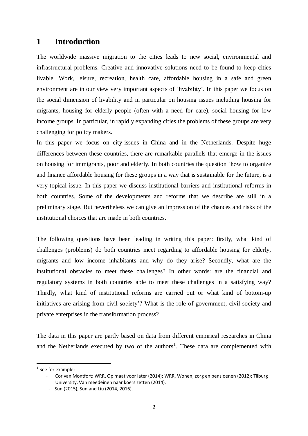## **1 Introduction**

The worldwide massive migration to the cities leads to new social, environmental and infrastructural problems. Creative and innovative solutions need to be found to keep cities livable. Work, leisure, recreation, health care, affordable housing in a safe and green environment are in our view very important aspects of 'livability'. In this paper we focus on the social dimension of livability and in particular on housing issues including housing for migrants, housing for elderly people (often with a need for care), social housing for low income groups. In particular, in rapidly expanding cities the problems of these groups are very challenging for policy makers.

In this paper we focus on city-issues in China and in the Netherlands. Despite huge differences between these countries, there are remarkable parallels that emerge in the issues on housing for immigrants, poor and elderly. In both countries the question 'how to organize and finance affordable housing for these groups in a way that is sustainable for the future, is a very topical issue. In this paper we discuss institutional barriers and institutional reforms in both countries. Some of the developments and reforms that we describe are still in a preliminary stage. But nevertheless we can give an impression of the chances and risks of the institutional choices that are made in both countries.

The following questions have been leading in writing this paper: firstly, what kind of challenges (problems) do both countries meet regarding to affordable housing for elderly, migrants and low income inhabitants and why do they arise? Secondly, what are the institutional obstacles to meet these challenges? In other words: are the financial and regulatory systems in both countries able to meet these challenges in a satisfying way? Thirdly, what kind of institutional reforms are carried out or what kind of bottom-up initiatives are arising from civil society'? What is the role of government, civil society and private enterprises in the transformation process?

The data in this paper are partly based on data from different empirical researches in China and the Netherlands executed by two of the authors<sup>1</sup>. These data are complemented with

-

 $<sup>1</sup>$  See for example:</sup>

<sup>-</sup> Cor van Montfort: WRR, Op maat voor later (2014); WRR, Wonen, zorg en pensioenen (2012); Tilburg University, Van meedeinen naar koers zetten (2014).

 <sup>-</sup> Sun (2015), Sun and Liu (2014, 2016).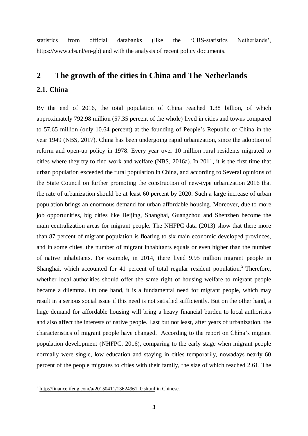statistics from official databanks (like the 'CBS-statistics Netherlands', [https://www.cbs.nl/en-gb\)](https://www.cbs.nl/en-gb) and with the analysis of recent policy documents.

# **2 The growth of the cities in China and The Netherlands**

## **2.1. China**

By the end of 2016, the total population of China reached 1.38 billion, of which approximately 792.98 million (57.35 percent of the whole) lived in cities and towns compared to 57.65 million (only 10.64 percent) at the founding of People's Republic of China in the year 1949 (NBS, 2017). China has been undergoing rapid urbanization, since the adoption of reform and open-up policy in 1978. Every year over 10 million rural residents migrated to cities where they try to find work and welfare (NBS, 2016a). In 2011, it is the first time that urban population exceeded the rural population in China, and according to Several opinions of the State Council on further promoting the construction of new-type urbanization 2016 that the rate of urbanization should be at least 60 percent by 2020. Such a large increase of urban population brings an enormous demand for urban affordable housing. Moreover, due to more job opportunities, big cities like Beijing, Shanghai, Guangzhou and Shenzhen become the main centralization areas for migrant people. The NHFPC data (2013) show that there more than 87 percent of migrant population is floating to six main economic developed provinces, and in some cities, the number of migrant inhabitants equals or even higher than the number of native inhabitants. For example, in 2014, there lived 9.95 million migrant people in Shanghai, which accounted for 41 percent of total regular resident population.<sup>2</sup> Therefore, whether local authorities should offer the same right of housing welfare to migrant people became a dilemma. On one hand, it is a fundamental need for migrant people, which may result in a serious social issue if this need is not satisfied sufficiently. But on the other hand, a huge demand for affordable housing will bring a heavy financial burden to local authorities and also affect the interests of native people. Last but not least, after years of urbanization, the characteristics of migrant people have changed. According to the report on China's migrant population development (NHFPC, 2016), comparing to the early stage when migrant people normally were single, low education and staying in cities temporarily, nowadays nearly 60 percent of the people migrates to cities with their family, the size of which reached 2.61. The

<sup>&</sup>lt;sup>2</sup> [http://finance.ifeng.com/a/20150411/13624961\\_0.shtml](http://finance.ifeng.com/a/20150411/13624961_0.shtml) in Chinese.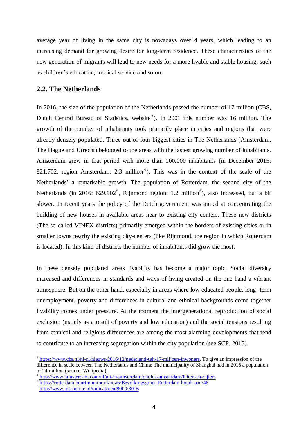average year of living in the same city is nowadays over 4 years, which leading to an increasing demand for growing desire for long-term residence. These characteristics of the new generation of migrants will lead to new needs for a more livable and stable housing, such as children's education, medical service and so on.

### **2.2. The Netherlands**

In 2016, the size of the population of the Netherlands passed the number of 17 million (CBS, Dutch Central Bureau of Statistics, website<sup>3</sup>). In 2001 this number was 16 million. The growth of the number of inhabitants took primarily place in cities and regions that were already densely populated. Three out of four biggest cities in The Netherlands (Amsterdam, The Hague and Utrecht) belonged to the areas with the fastest growing number of inhabitants. Amsterdam grew in that period with more than 100.000 inhabitants (in December 2015: 821.702, region Amsterdam: 2.3 million<sup>4</sup>). This was in the context of the scale of the Netherlands' a remarkable growth. The population of Rotterdam, the second city of the Netherlands (in 2016:  $629.902^5$ , Rijnmond region: 1.2 million<sup>6</sup>), also increased, but a bit slower. In recent years the policy of the Dutch government was aimed at concentrating the building of new houses in available areas near to existing city centers. These new districts (The so called VINEX-districts) primarily emerged within the borders of existing cities or in smaller towns nearby the existing city-centers (like Rijnmond, the region in which Rotterdam is located). In this kind of districts the number of inhabitants did grow the most.

In these densely populated areas livability has become a major topic. Social diversity increased and differences in standards and ways of living created on the one hand a vibrant atmosphere. But on the other hand, especially in areas where low educated people, long -term unemployment, poverty and differences in cultural and ethnical backgrounds come together livability comes under pressure. At the moment the intergenerational reproduction of social exclusion (mainly as a result of poverty and low education) and the social tensions resulting from ethnical and religious differences are among the most alarming developments that tend to contribute to an increasing segregation within the city population (see SCP, 2015).

-

 $3 \frac{\text{https://www.cbs.nl/nl-nl/nieuws/2016/12/ncderland-telt-17-miljoen-inwoners.}$  To give an impression of the diiference in scale between The Netherlands and China: The municipality of Shanghai had in 2015 a population of 24 million (source: Wikipedia).

<sup>&</sup>lt;sup>4</sup> <http://www.iamsterdam.com/nl/uit-in-amsterdam/ontdek-amsterdam/feiten-en-cijfers>

<sup>&</sup>lt;sup>5</sup> <https://rotterdam.buurtmonitor.nl/news/Bevolkingsgroei-Rotterdam-houdt-aan/46>

<sup>&</sup>lt;sup>6</sup> <http://www.msronline.nl/indicatoren/8000/8016>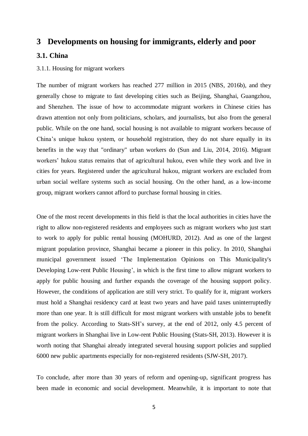## **3 Developments on housing for immigrants, elderly and poor**

### **3.1. China**

#### 3.1.1. Housing for migrant workers

The number of migrant workers has reached 277 million in 2015 (NBS, 2016b), and they generally chose to migrate to fast developing cities such as Beijing, Shanghai, Guangzhou, and Shenzhen. The issue of how to accommodate migrant workers in Chinese cities has drawn attention not only from politicians, scholars, and journalists, but also from the general public. While on the one hand, social housing is not available to migrant workers because of China's unique hukou system, or household registration, they do not share equally in its benefits in the way that "ordinary" urban workers do (Sun and Liu, 2014, 2016). Migrant workers' hukou status remains that of agricultural hukou, even while they work and live in cities for years. Registered under the agricultural hukou, migrant workers are excluded from urban social welfare systems such as social housing. On the other hand, as a low-income group, migrant workers cannot afford to purchase formal housing in cities.

One of the most recent developments in this field is that the local authorities in cities have the right to allow non-registered residents and employees such as migrant workers who just start to work to apply for public rental housing (MOHURD, 2012). And as one of the largest migrant population province, Shanghai became a pioneer in this policy. In 2010, Shanghai municipal government issued 'The Implementation Opinions on This Municipality's Developing Low-rent Public Housing', in which is the first time to allow migrant workers to apply for public housing and further expands the coverage of the housing support policy. However, the conditions of application are still very strict. To qualify for it, migrant workers must hold a Shanghai residency card at least two years and have paid taxes uninterruptedly more than one year. It is still difficult for most migrant workers with unstable jobs to benefit from the policy. According to Stats-SH's survey, at the end of 2012, only 4.5 percent of migrant workers in Shanghai live in Low-rent Public Housing (Stats-SH, 2013). However it is worth noting that Shanghai already integrated several housing support policies and supplied 6000 new public apartments especially for non-registered residents (SJW-SH, 2017).

To conclude, after more than 30 years of reform and opening-up, significant progress has been made in economic and social development. Meanwhile, it is important to note that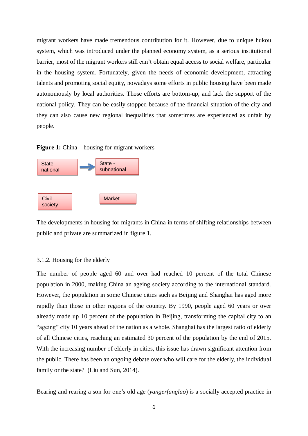migrant workers have made tremendous contribution for it. However, due to unique hukou system, which was introduced under the planned economy system, as a serious institutional barrier, most of the migrant workers still can't obtain equal access to social welfare, particular in the housing system. Fortunately, given the needs of economic development, attracting talents and promoting social equity, nowadays some efforts in public housing have been made autonomously by local authorities. Those efforts are bottom-up, and lack the support of the national policy. They can be easily stopped because of the financial situation of the city and they can also cause new regional inequalities that sometimes are experienced as unfair by people.

**Figure 1:** China – housing for migrant workers



The developments in housing for migrants in China in terms of shifting relationships between public and private are summarized in figure 1.

#### 3.1.2. Housing for the elderly

The number of people aged 60 and over had reached 10 percent of the total Chinese population in 2000, making China an ageing society according to the international standard. However, the population in some Chinese cities such as Beijing and Shanghai has aged more rapidly than those in other regions of the country. By 1990, people aged 60 years or over already made up 10 percent of the population in Beijing, transforming the capital city to an "ageing" city 10 years ahead of the nation as a whole. Shanghai has the largest ratio of elderly of all Chinese cities, reaching an estimated 30 percent of the population by the end of 2015. With the increasing number of elderly in cities, this issue has drawn significant attention from the public. There has been an ongoing debate over who will care for the elderly, the individual family or the state? (Liu and Sun, 2014).

Bearing and rearing a son for one's old age (*yangerfanglao*) is a socially accepted practice in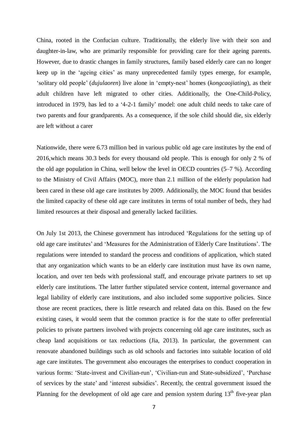China, rooted in the Confucian culture. Traditionally, the elderly live with their son and daughter-in-law, who are primarily responsible for providing care for their ageing parents. However, due to drastic changes in family structures, family based elderly care can no longer keep up in the 'ageing cities' as many unprecedented family types emerge, for example, 'solitary old people' (*dujulaoren*) live alone in 'empty-nest' homes (*kongcaojiating*), as their adult children have left migrated to other cities. Additionally, the One-Child-Policy, introduced in 1979, has led to a '4-2-1 family' model: one adult child needs to take care of two parents and four grandparents. As a consequence, if the sole child should die, six elderly are left without a carer

Nationwide, there were 6.73 million bed in various public old age care institutes by the end of 2016,which means 30.3 beds for every thousand old people. This is enough for only 2 % of the old age population in China, well below the level in OECD countries (5–7 %). According to the Ministry of Civil Affairs (MOC), more than 2.1 million of the elderly population had been cared in these old age care institutes by 2009. Additionally, the MOC found that besides the limited capacity of these old age care institutes in terms of total number of beds, they had limited resources at their disposal and generally lacked facilities.

On July 1st 2013, the Chinese government has introduced 'Regulations for the setting up of old age care institutes' and 'Measures for the Administration of Elderly Care Institutions'. The regulations were intended to standard the process and conditions of application, which stated that any organization which wants to be an elderly care institution must have its own name, location, and over ten beds with professional staff, and encourage private partners to set up elderly care institutions. The latter further stipulated service content, internal governance and legal liability of elderly care institutions, and also included some supportive policies. Since those are recent practices, there is little research and related data on this. Based on the few existing cases, it would seem that the common practice is for the state to offer preferential policies to private partners involved with projects concerning old age care institutes, such as cheap land acquisitions or tax reductions (Jia, 2013). In particular, the government can renovate abandoned buildings such as old schools and factories into suitable location of old age care institutes. The government also encourages the enterprises to conduct cooperation in various forms: 'State-invest and Civilian-run', 'Civilian-run and State-subsidized', 'Purchase of services by the state' and 'interest subsidies'. Recently, the central government issued the Planning for the development of old age care and pension system during  $13<sup>th</sup>$  five-year plan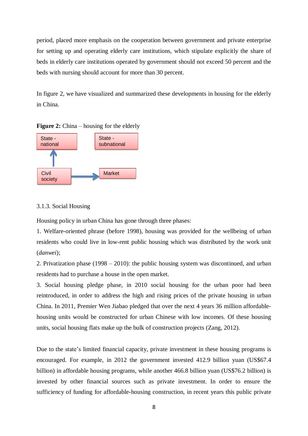period, placed more emphasis on the cooperation between government and private enterprise for setting up and operating elderly care institutions, which stipulate explicitly the share of beds in elderly care institutions operated by government should not exceed 50 percent and the beds with nursing should account for more than 30 percent.

In figure 2, we have visualized and summarized these developments in housing for the elderly in China.



**Figure 2:** China – housing for the elderly

#### 3.1.3. Social Housing

Housing policy in urban China has gone through three phases:

1. Welfare-oriented phrase (before 1998), housing was provided for the wellbeing of urban residents who could live in low-rent public housing which was distributed by the work unit (*danwei*);

2. Privatization phase (1998 – 2010): the public housing system was discontinued, and urban residents had to purchase a house in the open market.

3. Social housing pledge phase, in 2010 social housing for the urban poor had been reintroduced, in order to address the high and rising prices of the private housing in urban China. In 2011, Premier Wen Jiabao pledged that over the next 4 years 36 million affordablehousing units would be constructed for urban Chinese with low incomes. Of these housing units, social housing flats make up the bulk of construction projects (Zang, 2012).

Due to the state's limited financial capacity, private investment in these housing programs is encouraged. For example, in 2012 the government invested 412.9 billion yuan (US\$67.4 billion) in affordable housing programs, while another 466.8 billion yuan (US\$76.2 billion) is invested by other financial sources such as private investment. In order to ensure the sufficiency of funding for affordable-housing construction, in recent years this public private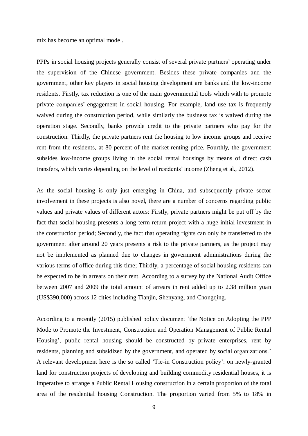mix has become an optimal model.

PPPs in social housing projects generally consist of several private partners' operating under the supervision of the Chinese government. Besides these private companies and the government, other key players in social housing development are banks and the low-income residents. Firstly, tax reduction is one of the main governmental tools which with to promote private companies' engagement in social housing. For example, land use tax is frequently waived during the construction period, while similarly the business tax is waived during the operation stage. Secondly, banks provide credit to the private partners who pay for the construction. Thirdly, the private partners rent the housing to low income groups and receive rent from the residents, at 80 percent of the market-renting price. Fourthly, the government subsides low-income groups living in the social rental housings by means of direct cash transfers, which varies depending on the level of residents' income (Zheng et al., 2012).

As the social housing is only just emerging in China, and subsequently private sector involvement in these projects is also novel, there are a number of concerns regarding public values and private values of different actors: Firstly, private partners might be put off by the fact that social housing presents a long term return project with a huge initial investment in the construction period; Secondly, the fact that operating rights can only be transferred to the government after around 20 years presents a risk to the private partners, as the project may not be implemented as planned due to changes in government administrations during the various terms of office during this time; Thirdly, a percentage of social housing residents can be expected to be in arrears on their rent. According to a survey by the National Audit Office between 2007 and 2009 the total amount of arrears in rent added up to 2.38 million yuan (US\$390,000) across 12 cities including Tianjin, Shenyang, and Chongqing.

According to a recently (2015) published policy document 'the Notice on Adopting the PPP Mode to Promote the Investment, Construction and Operation Management of Public Rental Housing', public rental housing should be constructed by private enterprises, rent by residents, planning and subsidized by the government, and operated by social organizations.' A relevant development here is the so called 'Tie-in Construction policy': on newly-granted land for construction projects of developing and building commodity residential houses, it is imperative to arrange a Public Rental Housing construction in a certain proportion of the total area of the residential housing Construction. The proportion varied from 5% to 18% in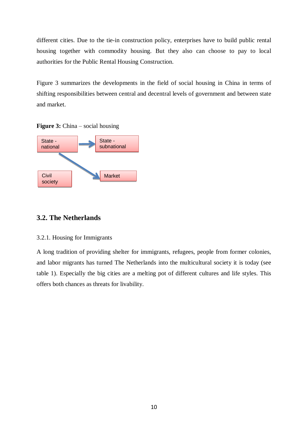different cities. Due to the tie-in construction policy, enterprises have to build public rental housing together with commodity housing. But they also can choose to pay to local authorities for the Public Rental Housing Construction.

Figure 3 summarizes the developments in the field of social housing in China in terms of shifting responsibilities between central and decentral levels of government and between state and market.

**Figure 3:** China – social housing



## **3.2. The Netherlands**

## 3.2.1. Housing for Immigrants

A long tradition of providing shelter for immigrants, refugees, people from former colonies, and labor migrants has turned The Netherlands into the multicultural society it is today (see table 1). Especially the big cities are a melting pot of different cultures and life styles. This offers both chances as threats for livability.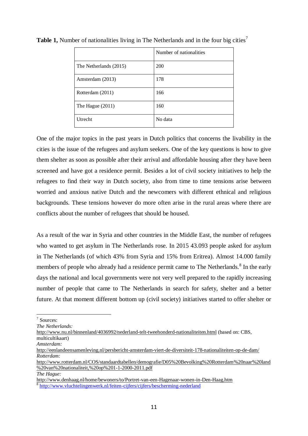|                        | Number of nationalities |  |
|------------------------|-------------------------|--|
| The Netherlands (2015) | 200                     |  |
| Amsterdam (2013)       | 178                     |  |
| Rotterdam (2011)       | 166                     |  |
| The Hague $(2011)$     | 160                     |  |
| <b>U</b> trecht        | No data                 |  |

**Table 1,** Number of nationalities living in The Netherlands and in the four big cities<sup>7</sup>

One of the major topics in the past years in Dutch politics that concerns the livability in the cities is the issue of the refugees and asylum seekers. One of the key questions is how to give them shelter as soon as possible after their arrival and affordable housing after they have been screened and have got a residence permit. Besides a lot of civil society initiatives to help the refugees to find their way in Dutch society, also from time to time tensions arise between worried and anxious native Dutch and the newcomers with different ethnical and religious backgrounds. These tensions however do more often arise in the rural areas where there are conflicts about the number of refugees that should be housed.

As a result of the war in Syria and other countries in the Middle East, the number of refugees who wanted to get asylum in The Netherlands rose. In 2015 43.093 people asked for asylum in The Netherlands (of which 43% from Syria and 15% from Eritrea). Almost 14.000 family members of people who already had a residence permit came to The Netherlands.<sup>8</sup> In the early days the national and local governments were not very well prepared to the rapidly increasing number of people that came to The Netherlands in search for safety, shelter and a better future. At that moment different bottom up (civil society) initiatives started to offer shelter or

<http://www.nu.nl/binnenland/4036992/nederland-telt-tweehonderd-nationaliteiten.html> (based on: CBS, multicultikaart)

 7 Sources:

*The Netherlands:*

*Amsterdam:*

<http://eenlandeensamenleving.nl/persbericht-amsterdam-viert-de-diversiteit-178-nationaliteiten-op-de-dam/> *Rotterdam:*

[http://www.rotterdam.nl/COS/standaardtabellen/demografie/D05%20Bevolking%20Rotterdam%20naar%20land](http://www.rotterdam.nl/COS/standaardtabellen/demografie/D05%20Bevolking%20Rotterdam%20naar%20land%20van%20nationaliteit,%20op%201-1-2000-2011.pdf) [%20van%20nationaliteit,%20op%201-1-2000-2011.pdf](http://www.rotterdam.nl/COS/standaardtabellen/demografie/D05%20Bevolking%20Rotterdam%20naar%20land%20van%20nationaliteit,%20op%201-1-2000-2011.pdf) *The Hague:*

<http://www.denhaag.nl/home/bewoners/to/Portret-van-een-Hagenaar-wonen-in-Den-Haag.htm> <sup>8</sup> <http://www.vluchtelingenwerk.nl/feiten-cijfers/cijfers/bescherming-nederland>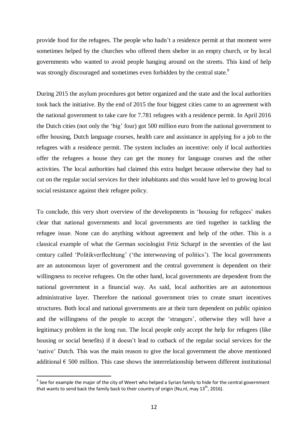provide food for the refugees. The people who hadn't a residence permit at that moment were sometimes helped by the churches who offered them shelter in an empty church, or by local governments who wanted to avoid people hanging around on the streets. This kind of help was strongly discouraged and sometimes even forbidden by the central state.<sup>9</sup>

During 2015 the asylum procedures got better organized and the state and the local authorities took back the initiative. By the end of 2015 the four biggest cities came to an agreement with the national government to take care for 7.781 refugees with a residence permit. In April 2016 the Dutch cities (not only the 'big' four) got 500 million euro from the national government to offer housing, Dutch language courses, health care and assistance in applying for a job to the refugees with a residence permit. The system includes an incentive: only if local authorities offer the refugees a house they can get the money for language courses and the other activities. The local authorities had claimed this extra budget because otherwise they had to cut on the regular social services for their inhabitants and this would have led to growing local social resistance against their refugee policy.

To conclude, this very short overview of the developments in 'housing for refugees' makes clear that national governments and local governments are tied together in tackling the refugee issue. None can do anything without agreement and help of the other. This is a classical example of what the German sociologist Frtiz Scharpf in the seventies of the last century called 'Politikverflechtung' ('the interweaving of politics'). The local governments are an autonomous layer of government and the central government is dependent on their willingness to receive refugees. On the other hand, local governments are dependent from the national government in a financial way. As said, local authorities are an autonomous administrative layer. Therefore the national government tries to create smart incentives structures. Both local and national governments are at their turn dependent on public opinion and the willingness of the people to accept the 'strangers', otherwise they will have a legitimacy problem in the long run. The local people only accept the help for refugees (like housing or social benefits) if it doesn't lead to cutback of the regular social services for the 'native' Dutch. This was the main reason to give the local government the above mentioned additional  $\epsilon$  500 million. This case shows the interrelationship between different institutional

-

 $9$  See for example the major of the city of Weert who helped a Syrian family to hide for the central government that wants to send back the family back to their country of origin (Nu.nl, may 13<sup>th</sup>, 2016).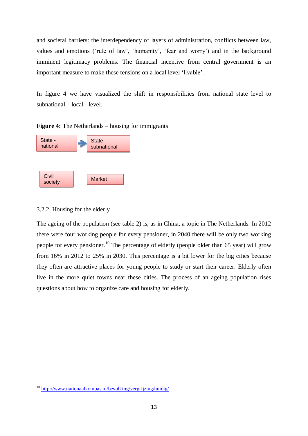and societal barriers: the interdependency of layers of administration, conflicts between law, values and emotions ('rule of law', 'humanity', 'fear and worry') and in the background imminent legitimacy problems. The financial incentive from central government is an important measure to make these tensions on a local level 'livable'.

In figure 4 we have visualized the shift in responsibilities from national state level to subnational – local - level.

**Figure 4:** The Netherlands – housing for immigrants



## 3.2.2. Housing for the elderly

The ageing of the population (see table 2) is, as in China, a topic in The Netherlands. In 2012 there were four working people for every pensioner, in 2040 there will be only two working people for every pensioner.<sup>10</sup> The percentage of elderly (people older than 65 year) will grow from 16% in 2012 to 25% in 2030. This percentage is a bit lower for the big cities because they often are attractive places for young people to study or start their career. Elderly often live in the more quiet towns near these cities. The process of an ageing population rises questions about how to organize care and housing for elderly.

<sup>10</sup> <http://www.nationaalkompas.nl/bevolking/vergrijzing/huidig/>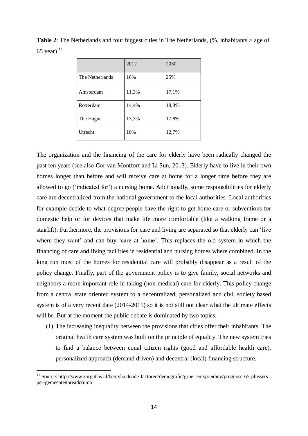**Table 2**: The Netherlands and four biggest cities in The Netherlands, (%, inhabitants > age of 65 year) $11$ 

|                 | 2012  | 2030  |
|-----------------|-------|-------|
| The Netherlands | 16%   | 25%   |
| Amsterdam       | 11,3% | 17,1% |
| Rotterdam       | 14,4% | 18,8% |
| The Hague       | 13,3% | 17,8% |
| Utrecht         | 10%   | 12,7% |

The organization and the financing of the care for elderly have been radically changed the past ten years (see also Cor van Montfort and Li Sun, 2013). Elderly have to live in their own homes longer than before and will receive care at home for a longer time before they are allowed to go ('indicated for') a nursing home. Additionally, some responsibilities for elderly care are decentralized from the national government to the local authorities. Local authorities for example decide to what degree people have the right to get home care or subventions for domestic help or for devices that make life more comfortable (like a walking frame or a stairlift). Furthermore, the provisions for care and living are separated so that elderly can 'live where they want' and can buy 'care at home'. This replaces the old system in which the financing of care and living facilities in residential and nursing homes where combined. In the long run most of the homes for residential care will probably disappear as a result of the policy change. Finally, part of the government policy is to give family, social networks and neighbors a more important role in taking (non medical) care for elderly. This policy change from a central state oriented system to a decentralized, personalized and civil society based system is of a very recent date (2014-2015) so it is not still not clear what the ultimate effects will be. But at the moment the public debate is dominated by two topics:

(1) The increasing inequality between the provisions that cities offer their inhabitants. The original health care system was built on the principle of equality. The new system tries to find a balance between equal citizen rights (good and affordable health care), personalized approach (demand driven) and decentral (local) financing structure.

<sup>11</sup> Source: [http://www.zorgatlas.nl/beinvloedende-factoren/demografie/groei-en-spreiding/prognose-65-plussers](http://www.zorgatlas.nl/beinvloedende-factoren/demografie/groei-en-spreiding/prognose-65-plussers-per-gemeente#breadcrumb)[per-gemeente#breadcrumb](http://www.zorgatlas.nl/beinvloedende-factoren/demografie/groei-en-spreiding/prognose-65-plussers-per-gemeente#breadcrumb)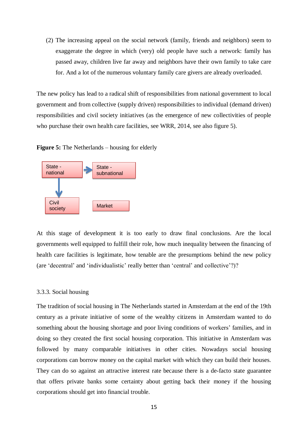(2) The increasing appeal on the social network (family, friends and neighbors) seem to exaggerate the degree in which (very) old people have such a network: family has passed away, children live far away and neighbors have their own family to take care for. And a lot of the numerous voluntary family care givers are already overloaded.

The new policy has lead to a radical shift of responsibilities from national government to local government and from collective (supply driven) responsibilities to individual (demand driven) responsibilities and civil society initiatives (as the emergence of new collectivities of people who purchase their own health care facilities, see WRR, 2014, see also figure 5).

**Figure 5:** The Netherlands – housing for elderly



At this stage of development it is too early to draw final conclusions. Are the local governments well equipped to fulfill their role, how much inequality between the financing of health care facilities is legitimate, how tenable are the presumptions behind the new policy (are 'decentral' and 'individualistic' really better than 'central' and collective'?)?

#### 3.3.3. Social housing

The tradition of social housing in The Netherlands started in Amsterdam at the end of the 19th century as a private initiative of some of the wealthy citizens in Amsterdam wanted to do something about the housing shortage and poor living conditions of workers' families, and in doing so they created the first social housing corporation. This initiative in Amsterdam was followed by many comparable initiatives in other cities. Nowadays social housing corporations can borrow money on the capital market with which they can build their houses. They can do so against an attractive interest rate because there is a de-facto state guarantee that offers private banks some certainty about getting back their money if the housing corporations should get into financial trouble.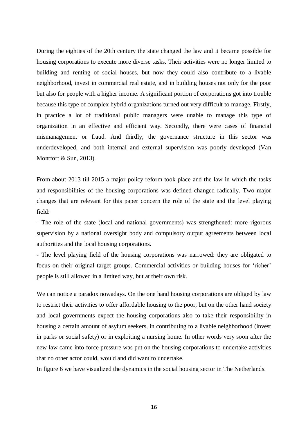During the eighties of the 20th century the state changed the law and it became possible for housing corporations to execute more diverse tasks. Their activities were no longer limited to building and renting of social houses, but now they could also contribute to a livable neighborhood, invest in commercial real estate, and in building houses not only for the poor but also for people with a higher income. A significant portion of corporations got into trouble because this type of complex hybrid organizations turned out very difficult to manage. Firstly, in practice a lot of traditional public managers were unable to manage this type of organization in an effective and efficient way. Secondly, there were cases of financial mismanagement or fraud. And thirdly, the governance structure in this sector was underdeveloped, and both internal and external supervision was poorly developed (Van Montfort & Sun, 2013).

From about 2013 till 2015 a major policy reform took place and the law in which the tasks and responsibilities of the housing corporations was defined changed radically. Two major changes that are relevant for this paper concern the role of the state and the level playing field:

- The role of the state (local and national governments) was strengthened: more rigorous supervision by a national oversight body and compulsory output agreements between local authorities and the local housing corporations.

- The level playing field of the housing corporations was narrowed: they are obligated to focus on their original target groups. Commercial activities or building houses for 'richer' people is still allowed in a limited way, but at their own risk.

We can notice a paradox nowadays. On the one hand housing corporations are obliged by law to restrict their activities to offer affordable housing to the poor, but on the other hand society and local governments expect the housing corporations also to take their responsibility in housing a certain amount of asylum seekers, in contributing to a livable neighborhood (invest in parks or social safety) or in exploiting a nursing home. In other words very soon after the new law came into force pressure was put on the housing corporations to undertake activities that no other actor could, would and did want to undertake.

In figure 6 we have visualized the dynamics in the social housing sector in The Netherlands.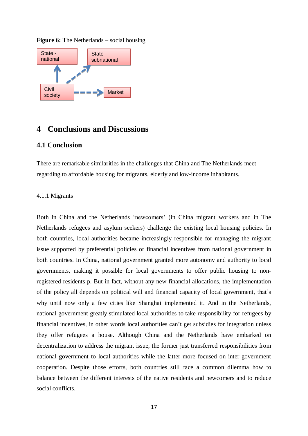

#### **Figure 6:** The Netherlands – social housing

## **4 Conclusions and Discussions**

### **4.1 Conclusion**

There are remarkable similarities in the challenges that China and The Netherlands meet regarding to affordable housing for migrants, elderly and low-income inhabitants.

#### 4.1.1 Migrants

Both in China and the Netherlands 'newcomers' (in China migrant workers and in The Netherlands refugees and asylum seekers) challenge the existing local housing policies. In both countries, local authorities became increasingly responsible for managing the migrant issue supported by preferential policies or financial incentives from national government in both countries. In China, national government granted more autonomy and authority to local governments, making it possible for local governments to offer public housing to nonregistered residents p. But in fact, without any new financial allocations, the implementation of the policy all depends on political will and financial capacity of local government, that's why until now only a few cities like Shanghai implemented it. And in the Netherlands, national government greatly stimulated local authorities to take responsibility for refugees by financial incentives, in other words local authorities can't get subsidies for integration unless they offer refugees a house. Although China and the Netherlands have embarked on decentralization to address the migrant issue, the former just transferred responsibilities from national government to local authorities while the latter more focused on inter-government cooperation. Despite those efforts, both countries still face a common dilemma how to balance between the different interests of the native residents and newcomers and to reduce social conflicts.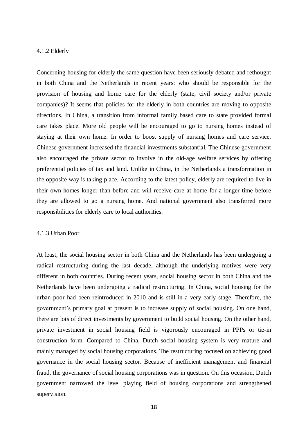#### 4.1.2 Elderly

Concerning housing for elderly the same question have been seriously debated and rethought in both China and the Netherlands in recent years: who should be responsible for the provision of housing and home care for the elderly (state, civil society and/or private companies)? It seems that policies for the elderly in both countries are moving to opposite directions. In China, a transition from informal family based care to state provided formal care takes place. More old people will be encouraged to go to nursing homes instead of staying at their own home. In order to boost supply of nursing homes and care service, Chinese government increased the financial investments substantial. The Chinese government also encouraged the private sector to involve in the old-age welfare services by offering preferential policies of tax and land. Unlike in China, in the Netherlands a transformation in the opposite way is taking place. According to the latest policy, elderly are required to live in their own homes longer than before and will receive care at home for a longer time before they are allowed to go a nursing home. And national government also transferred more responsibilities for elderly care to local authorities.

#### 4.1.3 Urban Poor

At least, the social housing sector in both China and the Netherlands has been undergoing a radical restructuring during the last decade, although the underlying motives were very different in both countries. During recent years, social housing sector in both China and the Netherlands have been undergoing a radical restructuring. In China, social housing for the urban poor had been reintroduced in 2010 and is still in a very early stage. Therefore, the government's primary goal at present is to increase supply of social housing. On one hand, there are lots of direct investments by government to build social housing. On the other hand, private investment in social housing field is vigorously encouraged in PPPs or tie-in construction form. Compared to China, Dutch social housing system is very mature and mainly managed by social housing corporations. The restructuring focused on achieving good governance in the social housing sector. Because of inefficient management and financial fraud, the governance of social housing corporations was in question. On this occasion, Dutch government narrowed the level playing field of housing corporations and strengthened supervision.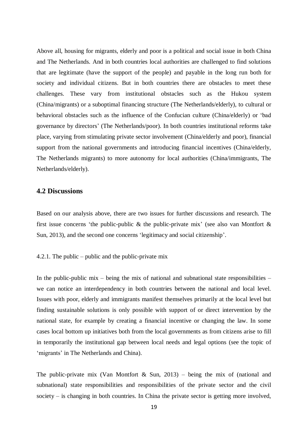Above all, housing for migrants, elderly and poor is a political and social issue in both China and The Netherlands. And in both countries local authorities are challenged to find solutions that are legitimate (have the support of the people) and payable in the long run both for society and individual citizens. But in both countries there are obstacles to meet these challenges. These vary from institutional obstacles such as the Hukou system (China/migrants) or a suboptimal financing structure (The Netherlands/elderly), to cultural or behavioral obstacles such as the influence of the Confucian culture (China/elderly) or 'bad governance by directors' (The Netherlands/poor). In both countries institutional reforms take place, varying from stimulating private sector involvement (China/elderly and poor), financial support from the national governments and introducing financial incentives (China/elderly, The Netherlands migrants) to more autonomy for local authorities (China/immigrants, The Netherlands/elderly).

### **4.2 Discussions**

Based on our analysis above, there are two issues for further discussions and research. The first issue concerns 'the public-public & the public-private mix' (see also van Montfort  $\&$ Sun, 2013), and the second one concerns 'legitimacy and social citizenship'.

4.2.1. The public – public and the public-private mix

In the public-public mix – being the mix of national and subnational state responsibilities – we can notice an interdependency in both countries between the national and local level. Issues with poor, elderly and immigrants manifest themselves primarily at the local level but finding sustainable solutions is only possible with support of or direct intervention by the national state, for example by creating a financial incentive or changing the law. In some cases local bottom up initiatives both from the local governments as from citizens arise to fill in temporarily the institutional gap between local needs and legal options (see the topic of 'migrants' in The Netherlands and China).

The public-private mix (Van Montfort & Sun, 2013) – being the mix of (national and subnational) state responsibilities and responsibilities of the private sector and the civil society – is changing in both countries. In China the private sector is getting more involved,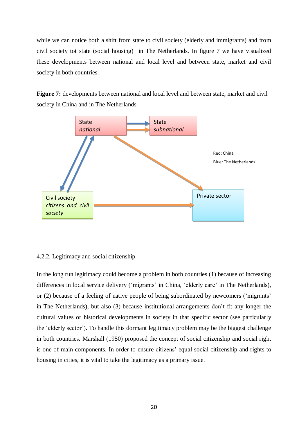while we can notice both a shift from state to civil society (elderly and immigrants) and from civil society tot state (social housing) in The Netherlands. In figure 7 we have visualized these developments between national and local level and between state, market and civil society in both countries.

**Figure 7:** developments between national and local level and between state, market and civil society in China and in The Netherlands



#### 4.2.2. Legitimacy and social citizenship

In the long run legitimacy could become a problem in both countries (1) because of increasing differences in local service delivery ('migrants' in China, 'elderly care' in The Netherlands), or (2) because of a feeling of native people of being subordinated by newcomers ('migrants' in The Netherlands), but also (3) because institutional arrangements don't fit any longer the cultural values or historical developments in society in that specific sector (see particularly the 'elderly sector'). To handle this dormant legitimacy problem may be the biggest challenge in both countries. Marshall (1950) proposed the concept of social citizenship and social right is one of main components. In order to ensure citizens' equal social citizenship and rights to housing in cities, it is vital to take the legitimacy as a primary issue.